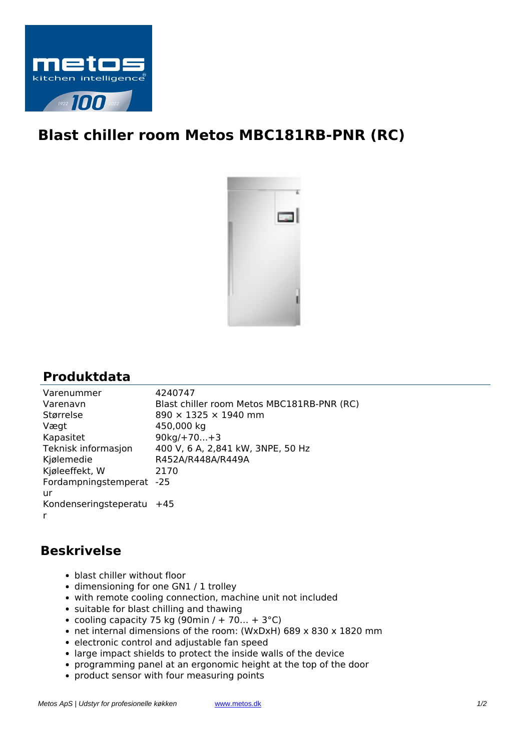

## **Blast chiller room Metos MBC181RB-PNR (RC)**



## **Produktdata**

| Varenummer                | 4240747                                    |
|---------------------------|--------------------------------------------|
| Varenavn                  | Blast chiller room Metos MBC181RB-PNR (RC) |
| Størrelse                 | 890 × 1325 × 1940 mm                       |
| Vægt                      | 450,000 kg                                 |
| Kapasitet                 | $90kg/+70+3$                               |
| Teknisk informasjon       | 400 V, 6 A, 2,841 kW, 3NPE, 50 Hz          |
| Kjølemedie                | R452A/R448A/R449A                          |
| Kjøleeffekt, W            | 2170                                       |
| Fordampningstemperat      | $-25$                                      |
| ur                        |                                            |
| Kondenseringsteperatu +45 |                                            |
| r                         |                                            |
|                           |                                            |

## **Beskrivelse**

- blast chiller without floor
- dimensioning for one GN1 / 1 trolley
- with remote cooling connection, machine unit not included
- suitable for blast chilling and thawing
- cooling capacity 75 kg (90min / + 70... + 3 $^{\circ}$ C)
- net internal dimensions of the room: (WxDxH) 689 x 830 x 1820 mm
- electronic control and adjustable fan speed
- large impact shields to protect the inside walls of the device
- programming panel at an ergonomic height at the top of the door
- product sensor with four measuring points